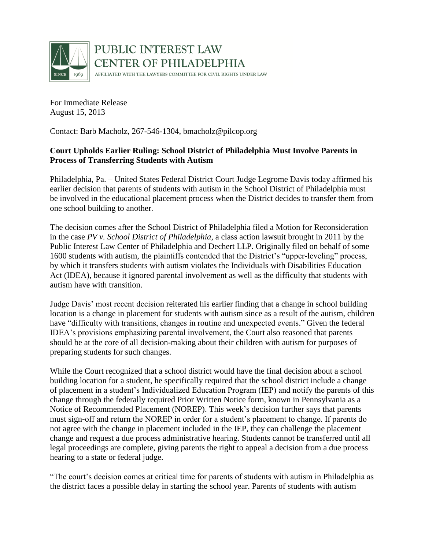

PUBLIC INTEREST LAW **CENTER OF PHILADELPHIA** AFFILIATED WITH THE LAWYERS COMMITTEE FOR CIVIL RIGHTS UNDER LAW

For Immediate Release August 15, 2013

Contact: Barb Macholz, 267-546-1304, bmacholz@pilcop.org

## **Court Upholds Earlier Ruling: School District of Philadelphia Must Involve Parents in Process of Transferring Students with Autism**

Philadelphia, Pa. – United States Federal District Court Judge Legrome Davis today affirmed his earlier decision that parents of students with autism in the School District of Philadelphia must be involved in the educational placement process when the District decides to transfer them from one school building to another.

The decision comes after the School District of Philadelphia filed a Motion for Reconsideration in the case *PV v. School District of Philadelphia*, a class action lawsuit brought in 2011 by the Public Interest Law Center of Philadelphia and Dechert LLP. Originally filed on behalf of some 1600 students with autism, the plaintiffs contended that the District's "upper-leveling" process, by which it transfers students with autism violates the Individuals with Disabilities Education Act (IDEA), because it ignored parental involvement as well as the difficulty that students with autism have with transition.

Judge Davis' most recent decision reiterated his earlier finding that a change in school building location is a change in placement for students with autism since as a result of the autism, children have "difficulty with transitions, changes in routine and unexpected events." Given the federal IDEA's provisions emphasizing parental involvement, the Court also reasoned that parents should be at the core of all decision-making about their children with autism for purposes of preparing students for such changes.

While the Court recognized that a school district would have the final decision about a school building location for a student, he specifically required that the school district include a change of placement in a student's Individualized Education Program (IEP) and notify the parents of this change through the federally required Prior Written Notice form, known in Pennsylvania as a Notice of Recommended Placement (NOREP). This week's decision further says that parents must sign-off and return the NOREP in order for a student's placement to change. If parents do not agree with the change in placement included in the IEP, they can challenge the placement change and request a due process administrative hearing. Students cannot be transferred until all legal proceedings are complete, giving parents the right to appeal a decision from a due process hearing to a state or federal judge.

"The court's decision comes at critical time for parents of students with autism in Philadelphia as the district faces a possible delay in starting the school year. Parents of students with autism